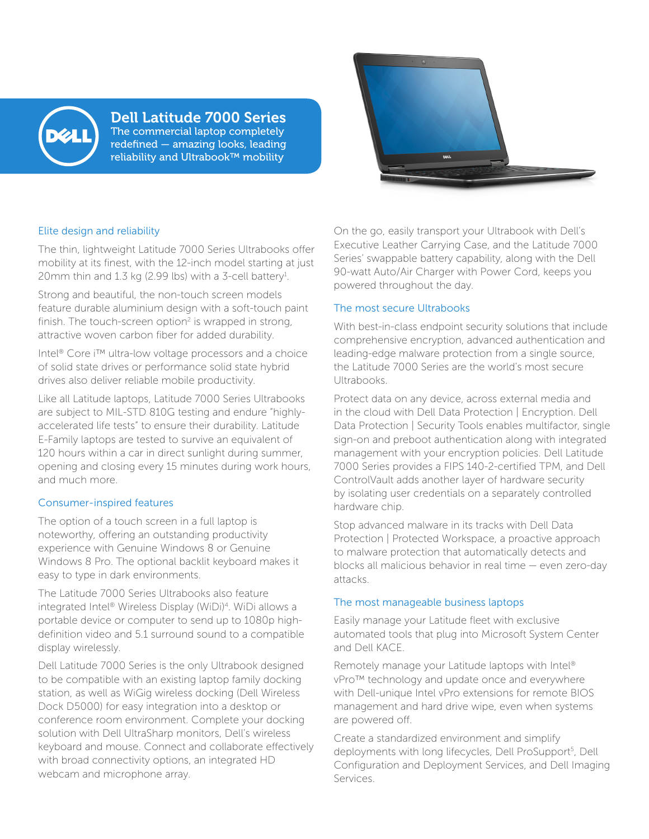

## Dell Latitude 7000 Series The commercial laptop completely

redefined — amazing looks, leading reliability and Ultrabook™ mobility



#### Elite design and reliability

The thin, lightweight Latitude 7000 Series Ultrabooks offer mobility at its finest, with the 12-inch model starting at just 20mm thin and 1.3 kg (2.99 lbs) with a 3-cell battery<sup>1</sup>.

Strong and beautiful, the non-touch screen models feature durable aluminium design with a soft-touch paint finish. The touch-screen option<sup>2</sup> is wrapped in strong, attractive woven carbon fiber for added durability.

Intel® Core i™ ultra-low voltage processors and a choice of solid state drives or performance solid state hybrid drives also deliver reliable mobile productivity.

Like all Latitude laptops, Latitude 7000 Series Ultrabooks are subject to MIL-STD 810G testing and endure "highlyaccelerated life tests" to ensure their durability. Latitude E-Family laptops are tested to survive an equivalent of 120 hours within a car in direct sunlight during summer, opening and closing every 15 minutes during work hours, and much more.

### Consumer-inspired features

The option of a touch screen in a full laptop is noteworthy, offering an outstanding productivity experience with Genuine Windows 8 or Genuine Windows 8 Pro. The optional backlit keyboard makes it easy to type in dark environments.

The Latitude 7000 Series Ultrabooks also feature integrated Intel® Wireless Display (WiDi)4 . WiDi allows a portable device or computer to send up to 1080p highdefinition video and 5.1 surround sound to a compatible display wirelessly.

Dell Latitude 7000 Series is the only Ultrabook designed to be compatible with an existing laptop family docking station, as well as WiGig wireless docking (Dell Wireless Dock D5000) for easy integration into a desktop or conference room environment. Complete your docking solution with Dell UltraSharp monitors, Dell's wireless keyboard and mouse. Connect and collaborate effectively with broad connectivity options, an integrated HD webcam and microphone array.

On the go, easily transport your Ultrabook with Dell's Executive Leather Carrying Case, and the Latitude 7000 Series' swappable battery capability, along with the Dell 90-watt Auto/Air Charger with Power Cord, keeps you powered throughout the day.

### The most secure Ultrabooks

With best-in-class endpoint security solutions that include comprehensive encryption, advanced authentication and leading-edge malware protection from a single source, the Latitude 7000 Series are the world's most secure Ultrabooks.

Protect data on any device, across external media and in the cloud with Dell Data Protection | Encryption. Dell Data Protection | Security Tools enables multifactor, single sign-on and preboot authentication along with integrated management with your encryption policies. Dell Latitude 7000 Series provides a FIPS 140-2-certified TPM, and Dell ControlVault adds another layer of hardware security by isolating user credentials on a separately controlled hardware chip.

Stop advanced malware in its tracks with Dell Data Protection | Protected Workspace, a proactive approach to malware protection that automatically detects and blocks all malicious behavior in real time — even zero-day attacks.

### The most manageable business laptops

Easily manage your Latitude fleet with exclusive automated tools that plug into Microsoft System Center and Dell KACE.

Remotely manage your Latitude laptops with Intel® vPro™ technology and update once and everywhere with Dell-unique Intel vPro extensions for remote BIOS management and hard drive wipe, even when systems are powered off.

Create a standardized environment and simplify deployments with long lifecycles, Dell ProSupport<sup>5</sup>, Dell Configuration and Deployment Services, and Dell Imaging Services.